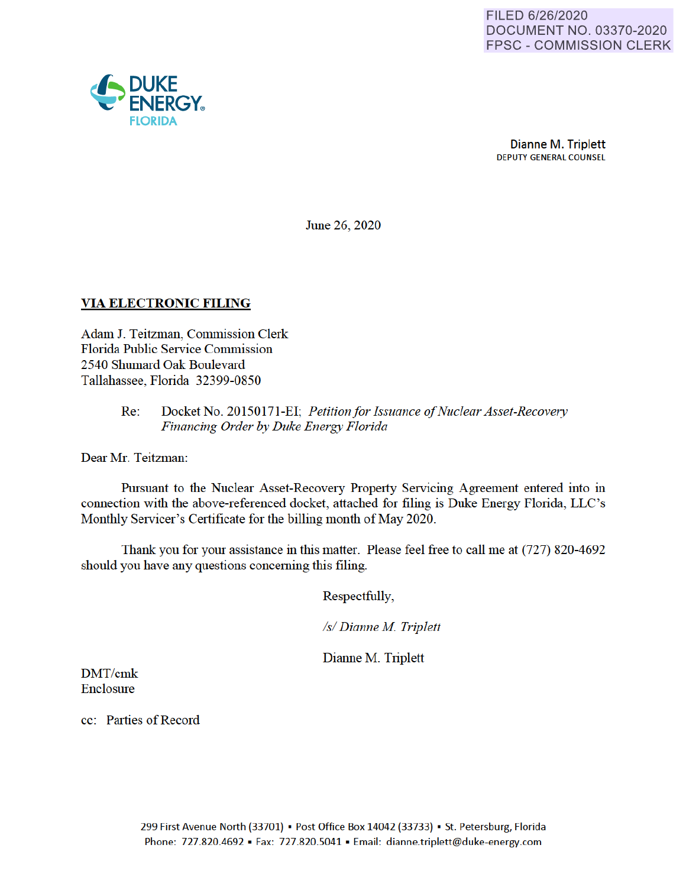

Dianne M. Triplett DEPUTY GENERAL COUNSEL

June 26, 2020

#### **VIA ELECTRONIC FILING**

Adam J. Teitzman, Commission Clerk Florida Public Service Commission 2540 Shumard Oak Boulevard Tallahassee, Florida 32399-0850

#### Re: Docket No. 20150171-EI· *Petition for Issuance of Nuclear Asset-Recovery Financing Order by Duke Energy Florida*

Dear Mr. Teitzman:

Pursuant to the Nuclear Asset-Recovery Property Servicing Agreement entered into in connection with the above-referenced docket, attached for filing is Duke Energy Florida, LLC's Monthly Servicer's Certificate for the billing month of May 2020.

Thank you for your assistance in this matter. Please feel free to call me at (727) 820-4692 should you have any questions concerning this filing.

Respectfully,

*Isl Dianne M Triplett* 

Dianne M. Triplett

DMT/cmk Enclosure

cc: Parties of Record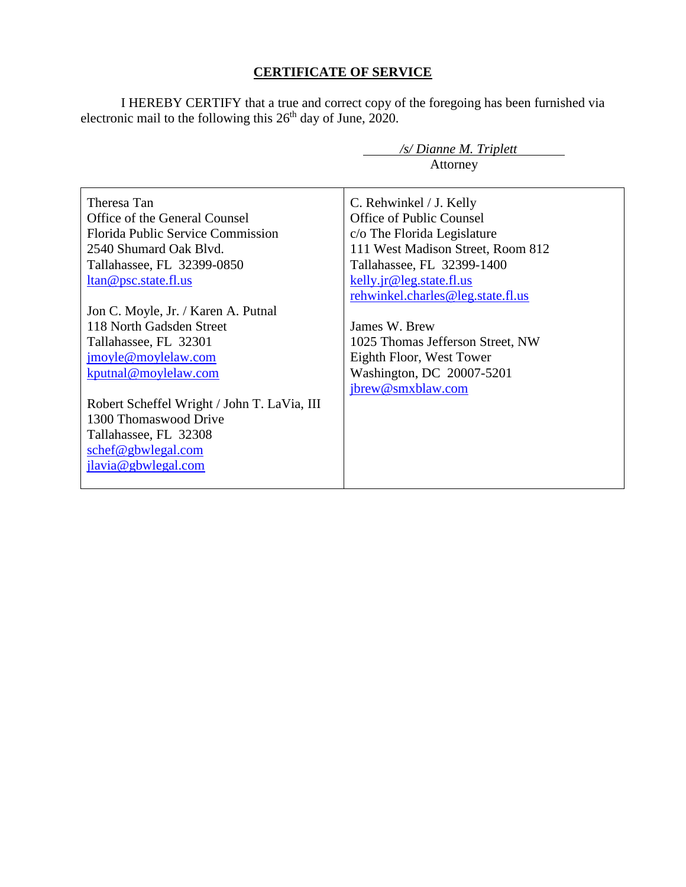## **CERTIFICATE OF SERVICE**

I HEREBY CERTIFY that a true and correct copy of the foregoing has been furnished via electronic mail to the following this 26<sup>th</sup> day of June, 2020.

 */s/ Dianne M. Triplett*

|                                                                                                                                                                                                                        | Attorney                                                                                                                                                                                                               |
|------------------------------------------------------------------------------------------------------------------------------------------------------------------------------------------------------------------------|------------------------------------------------------------------------------------------------------------------------------------------------------------------------------------------------------------------------|
| Theresa Tan<br>Office of the General Counsel<br><b>Florida Public Service Commission</b><br>2540 Shumard Oak Blvd.<br>Tallahassee, FL 32399-0850<br><u>ltan@psc.state.fl.us</u><br>Jon C. Moyle, Jr. / Karen A. Putnal | C. Rehwinkel / J. Kelly<br>Office of Public Counsel<br>c/o The Florida Legislature<br>111 West Madison Street, Room 812<br>Tallahassee, FL 32399-1400<br>kelly.jr@leg.state.fl.us<br>rehwinkel.charles@leg.state.fl.us |
| 118 North Gadsden Street<br>Tallahassee, FL 32301<br>jmoyle@moylelaw.com                                                                                                                                               | James W. Brew<br>1025 Thomas Jefferson Street, NW<br>Eighth Floor, West Tower                                                                                                                                          |
| kputnal@moylelaw.com                                                                                                                                                                                                   | Washington, DC 20007-5201<br>jbrew@smxblaw.com                                                                                                                                                                         |
| Robert Scheffel Wright / John T. LaVia, III<br>1300 Thomaswood Drive                                                                                                                                                   |                                                                                                                                                                                                                        |
| Tallahassee, FL 32308<br>schef@gbwlegal.com<br>jlavia@gbwlegal.com                                                                                                                                                     |                                                                                                                                                                                                                        |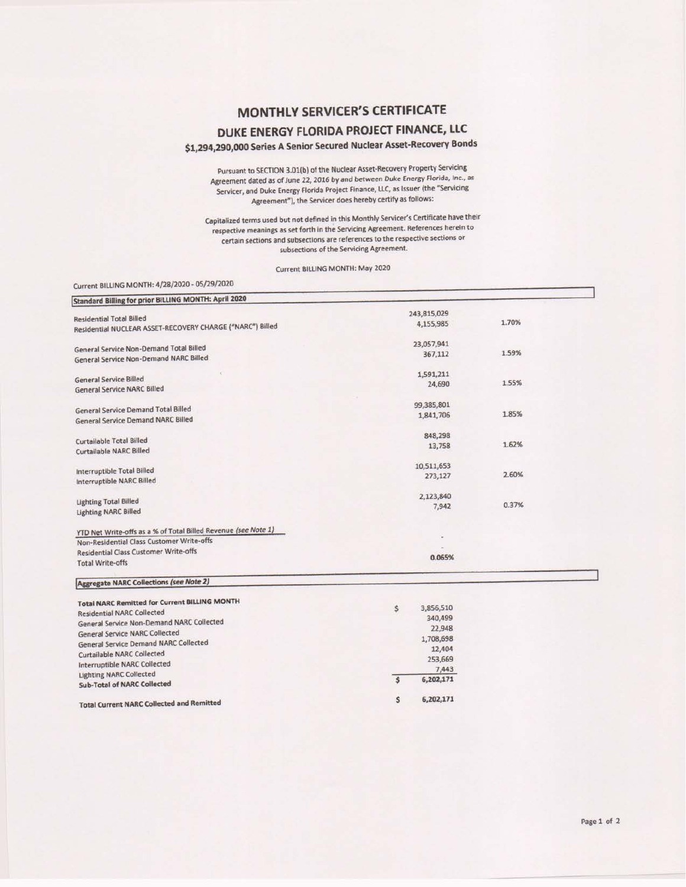## MONTHLY SERVICER'S CERTIFICATE

# DUKE ENERGY FLORIDA PROJECT FINANCE, LLC \$1,294,290,000 Series A Senior Secured Nuclear Asset-Recovery Bonds

Pursuant to SECTION 3.01(b) of the Nuclear Asset-Recovery Property Servicing Agreement dated as of June 22, 2016 by and between Duke Energy Florida, Inc., as Servicer, and Duke Energy Florida Project Finance, LLC, as Issuer (the "Servicing Agreement"), the Servicer does hereby certify as follows:

Capitalized terms used but not defined in this Monthly Servicer's Certificate have their respective meanings as set forth in the Servicing Agreement. References herein to certain sections and subsections are references to the respective sections or subsections of the Servicing Agreement.

Current BILLING MONTH: May 2020

#### Current BILLING MONTH: 4/28/2020 - 05/29/2020

| Standard Billing for prior BILLING MONTH: April 2020           |                                      |       |
|----------------------------------------------------------------|--------------------------------------|-------|
|                                                                | 243,815,029                          |       |
| <b>Residential Total Billed</b>                                | 4,155,985                            | 1.70% |
| Residential NUCLEAR ASSET-RECOVERY CHARGE ("NARC") Billed      |                                      |       |
| General Service Non-Demand Total Billed                        | 23,057,941                           |       |
|                                                                | 367,112                              | 1.59% |
| General Service Non-Demand NARC Billed                         |                                      |       |
| <b>General Service Billed</b>                                  | 1,591,211                            |       |
| <b>General Service NARC Billed</b>                             | 24,690                               | 1.55% |
|                                                                |                                      |       |
| General Service Demand Total Billed                            | 99,385,801                           |       |
|                                                                | 1,841,706                            | 1.85% |
| <b>General Service Demand NARC Billed</b>                      |                                      |       |
| Curtailable Total Billed                                       | 848,298                              |       |
|                                                                | 13,758                               | 1.62% |
| <b>Curtailable NARC Billed</b>                                 |                                      |       |
| <b>Interruptible Total Billed</b>                              | 10,511,653                           |       |
| Interruptible NARC Billed                                      | 273,127                              | 2.60% |
|                                                                |                                      |       |
| <b>Lighting Total Billed</b>                                   | 2,123,840                            |       |
| <b>Lighting NARC Billed</b>                                    | 7,942                                | 0.37% |
|                                                                |                                      |       |
| YTD Net Write-offs as a % of Total Billed Revenue (see Note 1) |                                      |       |
| Non-Residential Class Customer Write-offs                      |                                      |       |
| <b>Residential Class Customer Write-offs</b>                   |                                      |       |
| <b>Total Write-offs</b>                                        | 0.065%                               |       |
| <b>Aggregate NARC Collections (see Note 2)</b>                 |                                      |       |
| <b>Total NARC Remitted for Current BILLING MONTH</b>           |                                      |       |
| <b>Residential NARC Collected</b>                              | 3,856,510<br>\$                      |       |
| General Service Non-Demand NARC Collected                      | 340,499                              |       |
| <b>General Service NARC Collected</b>                          | 22,948                               |       |
| <b>General Service Demand NARC Collected</b>                   | 1,708,698                            |       |
| Curtailable NARC Collected                                     | 12,404                               |       |
| <b>Interruptible NARC Collected</b>                            | 253,669                              |       |
| <b>Lighting NARC Collected</b>                                 | 7,443                                |       |
| <b>Sub-Total of NARC Collected</b>                             | $\overline{\mathbf{s}}$<br>6,202,171 |       |
|                                                                |                                      |       |
| and Department of the standard Department                      | 6,202,171<br>\$                      |       |

**Total Current NARC Collected and Remitted**